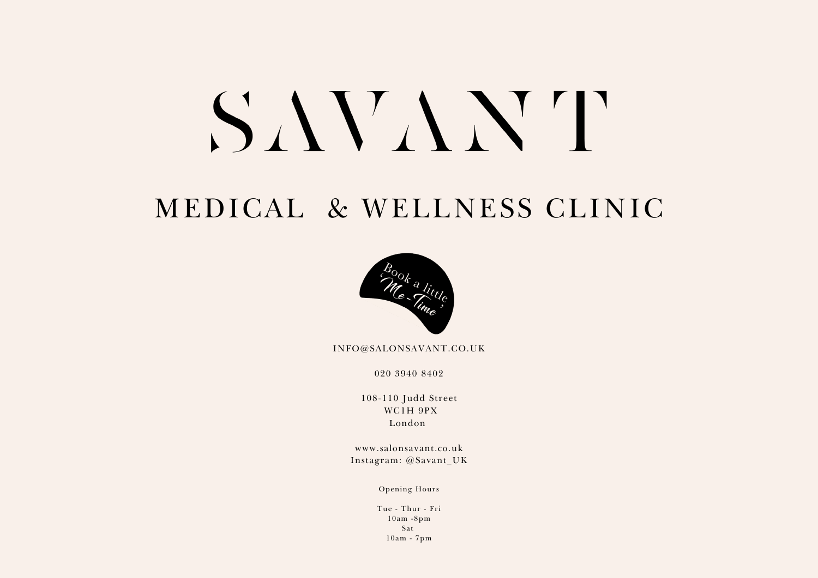# SAVANT

# MEDICAL & WELLNESS CLINIC



INFO@SALONSAVANT.CO.UK

020 3940 8402

108-110 Judd Street WC1H 9PX London

www.salonsavant.co.uk Instagram: @Savant\_UK

Opening Hours

Tue - Thur - Fri 10am -8pm Sat 10am - 7pm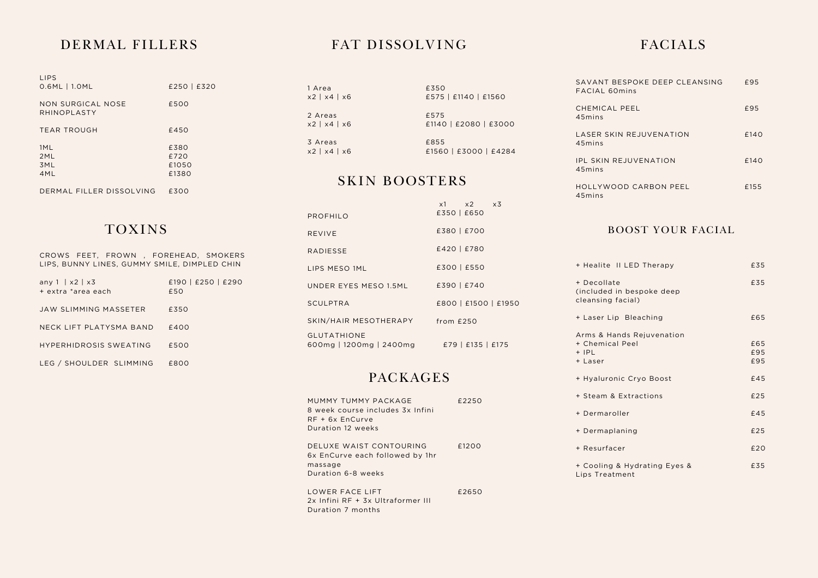## DERMAL FILLERS

| <b>LIPS</b><br>$0.6ML$   1.0ML   | £250   £320 |
|----------------------------------|-------------|
| NON SURGICAL NOSE<br>RHINOPLASTY | £500        |
| <b>TEAR TROUGH</b>               | £450        |
| 1ML                              | £380        |
| 2ML                              | £720        |
| 3ML                              | £1050       |
| 4ML                              | £1380       |
|                                  |             |
| DERMAL FILLER DISSOLVING         | £300        |

## TOXINS

CROWS FEET, FROWN , FOREHEAD, SMOKERS LIPS, BUNNY LINES, GUMMY SMILE, DIMPLED CHIN

| any $1   x2   x3$<br>+ extra *area each | £190   £250   £290<br>£50 |
|-----------------------------------------|---------------------------|
| JAW SLIMMING MASSETER                   | £350                      |
| NECK LIFT PLATYSMA RAND                 | £400                      |
| <b>HYPERHIDROSIS SWEATING</b>           | £500                      |
| LEG / SHOULDER SLIMMING                 | £800                      |

## FAT DISSOLVING FACIALS

1 Area x2 | x4 | x6 2 Areas x2 | x4 | x6

3 Areas x2 | x4 | x6

## £575 £1140 | £2080 | £3000 £855 £1560 | £3000 | £4284

£575 | £1140 | £1560

£350

x1 x2 x3

## SKIN BOOSTERS

|                                               | $X1 \quad X2 \quad X3$ |
|-----------------------------------------------|------------------------|
| PROFHILO                                      | £350   £650            |
| <b>REVIVE</b>                                 | £380   £700            |
| <b>RADIESSE</b>                               | £420   £780            |
| LIPS MESO 1ML                                 | £300   £550            |
| UNDER EYES MESO 1.5ML                         | £390   £740            |
| <b>SCULPTRA</b>                               | £800   £1500   £1950   |
| SKIN/HAIR MESOTHERAPY                         | from $£250$            |
| <b>GLUTATHIONE</b><br>600mg   1200mg   2400mg | £79   £135   £175      |

## PACKAGES

| MUMMY TUMMY PACKAGE<br>8 week course includes 3x Infini<br>$RF + 6x$ EnCurve<br>Duration 12 weeks | £2250 |
|---------------------------------------------------------------------------------------------------|-------|
| DELUXE WAIST CONTOURING<br>6x EnCurve each followed by 1hr<br>massage<br>Duration 6-8 weeks       | f1200 |
| LOWER FACE LIFT<br>2x Infini RF + 3x Ultraformer III<br>Duration 7 months                         | £2650 |

| SAVANT BESPOKE DEEP CLEANSING<br>FACIAL 60mins | £95  |
|------------------------------------------------|------|
| CHEMICAL PEEL<br>45mins                        | £95  |
| LASER SKIN REJUVENATION<br>45mins              | £140 |
| <b>IPL SKIN REJUVENATION</b><br>45mins         | £140 |
| HOLLYWOOD CARBON PEEL<br>45mins                | £155 |
|                                                |      |

### BOOST YOUR FACIAL

| + Healite II LED Therapy                                           | £35               |
|--------------------------------------------------------------------|-------------------|
| + Decollate<br>(included in bespoke deep<br>cleansing facial)      | £35               |
| + Laser Lip Bleaching                                              | £65               |
| Arms & Hands Rejuvenation<br>+ Chemical Peel<br>$+$ IPL<br>+ Laser | £65<br>£95<br>£95 |
| + Hyaluronic Cryo Boost                                            | £45               |
| + Steam & Extractions                                              | £25               |
| + Dermaroller                                                      | £45               |
| + Dermaplaning                                                     | £25               |
| + Resurfacer                                                       | £20               |
| + Cooling & Hydrating Eyes &<br>Lips Treatment                     | £35               |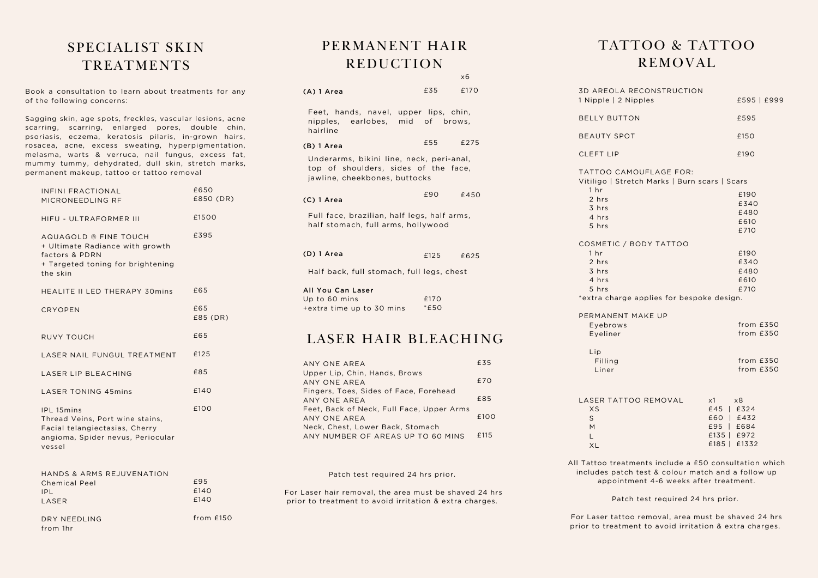## SPECIALIST SKIN TREATMENTS

Book a consultation to learn about treatments for any of the following concerns:

Sagging skin, age spots, freckles, vascular lesions, acne scarring, scarring, enlarged pores, double chin, psoriasis, eczema, keratosis pilaris, in-grown hairs, rosacea, acne, excess sweating, hyperpigmentation, melasma, warts & verruca, nail fungus, excess fat, mummy tummy, dehydrated, dull skin, stretch marks, permanent makeup, tattoo or tattoo removal

| INFINI FRACTIONAL<br>MICRONEEDLING RF                                                                                                 | £650<br>£850 (DR) |
|---------------------------------------------------------------------------------------------------------------------------------------|-------------------|
| HIFU - ULTRAFORMER III                                                                                                                | £1500             |
| AQUAGOLD ® FINE TOUCH<br>+ Ultimate Radiance with growth<br>factors & PDRN<br>+ Targeted toning for brightening<br>the skin           | £395              |
| HEALITE II LED THERAPY 30mins                                                                                                         | £65               |
| <b>CRYOPEN</b>                                                                                                                        | £65<br>£85 (DR)   |
| <b>RUVY TOUCH</b>                                                                                                                     | £65               |
| LASER NAIL FUNGUL TREATMENT                                                                                                           | £125              |
| LASER LIP BLEACHING                                                                                                                   | £85               |
| <b>LASER TONING 45mins</b>                                                                                                            | £140              |
| <b>IPL 15mins</b><br>Thread Veins, Port wine stains,<br>Facial telangiectasias, Cherry<br>angioma, Spider nevus, Periocular<br>vessel | £100              |

| HANDS & ARMS REJUVENATION |      |
|---------------------------|------|
| Chemical Peel             | £95  |
| IPI.                      | f140 |
| <b>IASER</b>              | f140 |
|                           |      |

DRY NEEDLING from 1hr

from £150

## PERMANENT HAIR REDUCTION

|                                                                                                                   |                | x6   |
|-------------------------------------------------------------------------------------------------------------------|----------------|------|
| (A) 1 Area                                                                                                        | £35            | £170 |
| Feet, hands, navel, upper lips, chin,<br>nipples, earlobes, mid of brows,<br>hairline                             |                |      |
| (B) 1 Area                                                                                                        | £55 £275       |      |
| Underarms, bikini line, neck, peri-anal,<br>top of shoulders, sides of the face,<br>jawline, cheekbones, buttocks |                |      |
| (C) 1 Area                                                                                                        | £90            | £450 |
| Full face, brazilian, half legs, half arms,<br>half stomach, full arms, hollywood                                 |                |      |
| (D) 1 Area                                                                                                        | $£125$ $£625$  |      |
| Half back, full stomach, full legs, chest                                                                         |                |      |
| All You Can Laser<br>Up to 60 mins<br>+extra time up to 30 mins                                                   | £170<br>$*E50$ |      |
|                                                                                                                   |                |      |

## LASER HAIR BLEACHING

| ANY ONE AREA                                                          | £35  |
|-----------------------------------------------------------------------|------|
| Upper Lip, Chin, Hands, Brows<br>ANY ONE AREA                         | £70  |
| Fingers, Toes, Sides of Face, Forehead<br>ANY ONE AREA                | £85  |
| Feet, Back of Neck, Full Face, Upper Arms<br>ANY ONE AREA             | £100 |
| Neck, Chest, Lower Back, Stomach<br>ANY NUMBER OF AREAS UP TO 60 MINS | £115 |

#### Patch test required 24 hrs prior.

For Laser hair removal, the area must be shaved 24 hrs prior to treatment to avoid irritation & extra charges.

## TATTOO & TATTOO REMOVAL

| <b>3D AREOLA RECONSTRUCTION</b>                                         |               |
|-------------------------------------------------------------------------|---------------|
| 1 Nipple   2 Nipples                                                    | £595   £999   |
| <b>BELLY BUTTON</b>                                                     | £595          |
| <b>BEAUTY SPOT</b>                                                      | £150          |
| <b>CLEFT LIP</b>                                                        | £190          |
| TATTOO CAMOUFLAGE FOR:<br>Vitiligo   Stretch Marks   Burn scars   Scars |               |
| 1 <sub>hr</sub><br>2 hrs                                                | £190          |
| 3 hrs                                                                   | £340          |
| 4 hrs                                                                   | £480          |
| 5 hrs                                                                   | £610          |
|                                                                         | £710          |
| COSMETIC / BODY TATTOO                                                  |               |
| 1 <sub>hr</sub>                                                         | £190          |
| 2 hrs                                                                   | £340          |
| 3 hrs                                                                   | £480          |
| 4 hrs                                                                   | £610          |
| 5 hrs                                                                   | £710          |
| *extra charge applies for bespoke design.                               |               |
| PERMANENT MAKE UP                                                       |               |
| Eyebrows                                                                | from $£350$   |
| Eyeliner                                                                | from $£350$   |
| Lip                                                                     |               |
| Filling                                                                 | from $£350$   |
| Liner                                                                   | from $£350$   |
| LASER TATTOO REMOVAL                                                    | $x1 \times 8$ |
| XS                                                                      | £45   £324    |
| S                                                                       | £60   £432    |
| M                                                                       | £95   £684    |
| L.                                                                      | £135   £972   |
| <b>XL</b>                                                               | £185   £1332  |
| All Tattoo treatments include a £50 consultation which                  |               |

includes patch test & colour match and a follow up appointment 4-6 weeks after treatment.

Patch test required 24 hrs prior.

For Laser tattoo removal, area must be shaved 24 hrs prior to treatment to avoid irritation & extra charges.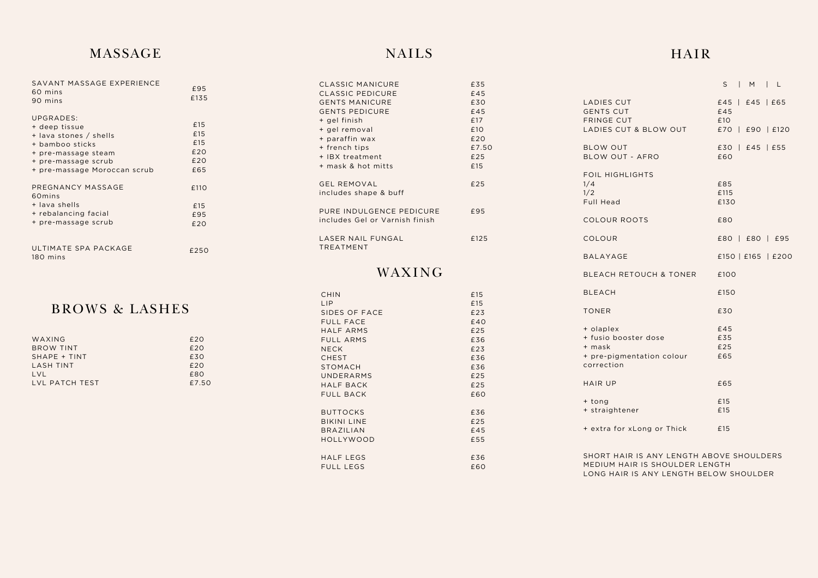## **MASSAGE**

| SAVANT MASSAGE EXPERIENCE<br>60 mins<br>90 mins                                                                                                       | £95<br>£135                            |
|-------------------------------------------------------------------------------------------------------------------------------------------------------|----------------------------------------|
| UPGRADES:<br>+ deep tissue<br>+ lava stones / shells<br>+ bamboo sticks<br>+ pre-massage steam<br>+ pre-massage scrub<br>+ pre-massage Moroccan scrub | £15<br>£15<br>£15<br>£20<br>£20<br>£65 |
| PREGNANCY MASSAGE<br>60 <sub>mins</sub><br>+ lava shells<br>+ rebalancing facial<br>+ pre-massage scrub                                               | £110<br>£15<br>£95<br>£20              |
| ULTIMATE SPA PACKAGE<br>180 mins                                                                                                                      | £250                                   |

## BROWS & LASHES

| WAXING           | E20   |
|------------------|-------|
| BROW TINT        | E20   |
| SHAPE + TINT     | £30   |
| <b>LASH TINT</b> | E20   |
| LVL              | £80   |
| LVL PATCH TEST   | £7.50 |

## N A I L S

| CLASSIC MANICURE               | £35   |
|--------------------------------|-------|
| <b>CLASSIC PEDICURE</b>        | £45   |
| <b>GENTS MANICURE</b>          | £30   |
| <b>GENTS PEDICURE</b>          | £45   |
| + gel finish                   | £17   |
| + gel removal                  | £10   |
| + paraffin wax                 | £20   |
| + french tips                  | £7.50 |
| + IBX treatment                | £25   |
| + mask & hot mitts             | £15   |
|                                |       |
| <b>GEL REMOVAL</b>             | £25   |
| includes shape & buff          |       |
|                                |       |
| PURE INDULGENCE PEDICURE       | £95   |
| includes Gel or Varnish finish |       |
|                                |       |
| LASER NAIL FUNGAL              | £125  |
| <b>TREATMENT</b>               |       |

## WAXING

| <b>CHIN</b>        | £15 |
|--------------------|-----|
| LIP                | £15 |
| SIDES OF FACE      | £23 |
| <b>FULL FACE</b>   | £40 |
| HALF ARMS          | £25 |
| <b>FULL ARMS</b>   | £36 |
| <b>NECK</b>        | £23 |
| <b>CHEST</b>       | £36 |
| <b>STOMACH</b>     | £36 |
| UNDERARMS          | £25 |
| HALF BACK          | £25 |
| FULL BACK          | £60 |
|                    |     |
| <b>BUTTOCKS</b>    | £36 |
| <b>BIKINI LINE</b> | £25 |
| <b>BRAZILIAN</b>   | £45 |
| HOLLYWOOD          | £55 |
|                    |     |
| HALF LEGS          | £36 |
| FULL LEGS          | £60 |
|                    |     |

## H A I R S | M | L

| LADIES CUT<br><b>GENTS CUT</b><br><b>FRINGE CUT</b><br>LADIES CUT & BLOW OUT           | £45   £45   £65<br>£45<br>£10<br>£70   £90   £120 |
|----------------------------------------------------------------------------------------|---------------------------------------------------|
| <b>BLOW OUT</b><br><b>BLOW OUT - AFRO</b>                                              | £30   £45   £55<br>£60                            |
| FOIL HIGHLIGHTS<br>1/4<br>1/2<br>Full Head                                             | £85<br>£115<br>£130                               |
| <b>COLOUR ROOTS</b>                                                                    | £80                                               |
| COLOUR                                                                                 | £80   £80   £95                                   |
| <b>BALAYAGE</b>                                                                        | £150   £165   £200                                |
| BLEACH RETOUCH & TONER                                                                 | £100                                              |
| <b>BLEACH</b>                                                                          | £150                                              |
| <b>TONER</b>                                                                           | £30                                               |
| + olaplex<br>+ fusio booster dose<br>+ mask<br>+ pre-pigmentation colour<br>correction | £45<br>£35<br>£25<br>£65                          |
| <b>HAIR UP</b>                                                                         | £65                                               |
| + tong<br>+ straightener                                                               | £15<br>£15                                        |
| + extra for xLong or Thick                                                             | £15                                               |
|                                                                                        |                                                   |

SHORT HAIR IS ANY LENGTH ABOVE SHOULDERS MEDIUM HAIR IS SHOULDER LENGTH LONG HAIR IS ANY LENGTH BELOW SHOULDER